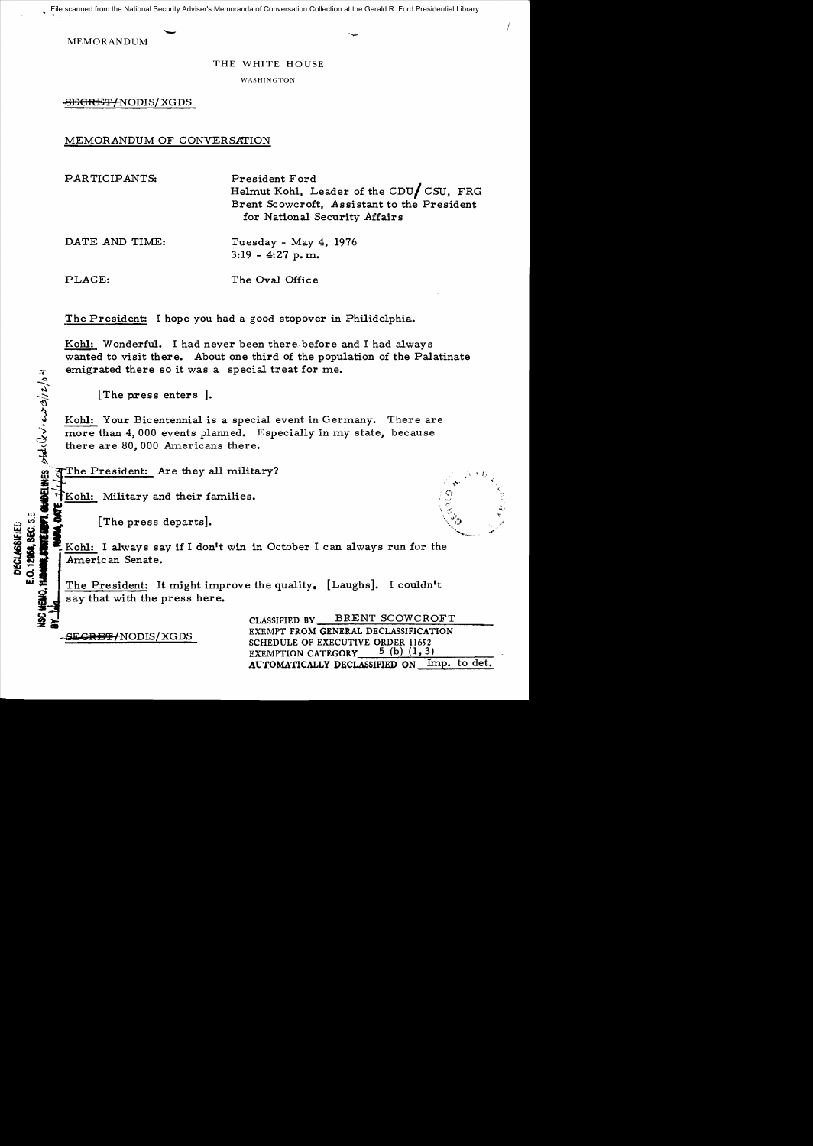File scanned from the National Security Adviser's Memoranda of Conversation Collection at the Gerald R. Ford Presidential Library

MEMORANDUM

#### THE WHITE HOUSE

WASHINGTON

<del>SECRET/</del>NODIS/XGDS

MEMORANDUM OF CONVERSATION

PARTICIPANTS: DATE AND TIME: PLACE: President Ford Helmut Kohl, Leader of the *CDul* CSU, FRG Brent Scowcroft, Assistant to the President for National Security Affairs Tuesday - May 4, 1976 3:19 - 4:27 p. m.. The Oval Office

The President: I hope you had a good stopover in Philidelphia.

Kohl: Wonderful. I had never been there. before and I had always wanted to visit there. About one third of the population of the Palatinate emigrated there so it was a special treat for me.

[The press enters ].

Kohl: Your Bicentennial is a special event in Germany. There are more than 4,000 events planned. Especially in my state, because there are 80,000 Americans there.  $x^2$  (The press enters ].<br>  $\frac{1}{2}$  (The press enters ].<br>  $\frac{1}{2}$  (The press enters ].<br>  $\frac{1}{2}$  (Mohl: Your Bicentennial is a special enters there are 80,000 events planned. Especially<br>
there are 80,000 Americans th

Kohl: Military and their families.

! !

.:;, ~ . ~ [The press departs]. \<~~, j! • Kohl: I always say if I don't win in October I can always run for the " American Senate.

> The President: It might improve the quality. [Laughs]. I couldn't say that with the press here.

> > CLASSIFIED BY BRENT SCOWCROFT EXEMPT FROM GENERAL DECLASSIFICATION SCHEDULE OF EXECUTIVE ORDER 11652<br>EXEMPTION CATEGORY 5 (b) (1, 3) EXEMPTION CATEGORY AUTOMATICALLY DECLASSIFIED ON Imp. to det.

-<del>SECRET/</del>NODIS/XGDS

 $\frac{1}{2}$  is a **DEC<br>E.O. 12** 

~,. **z ..**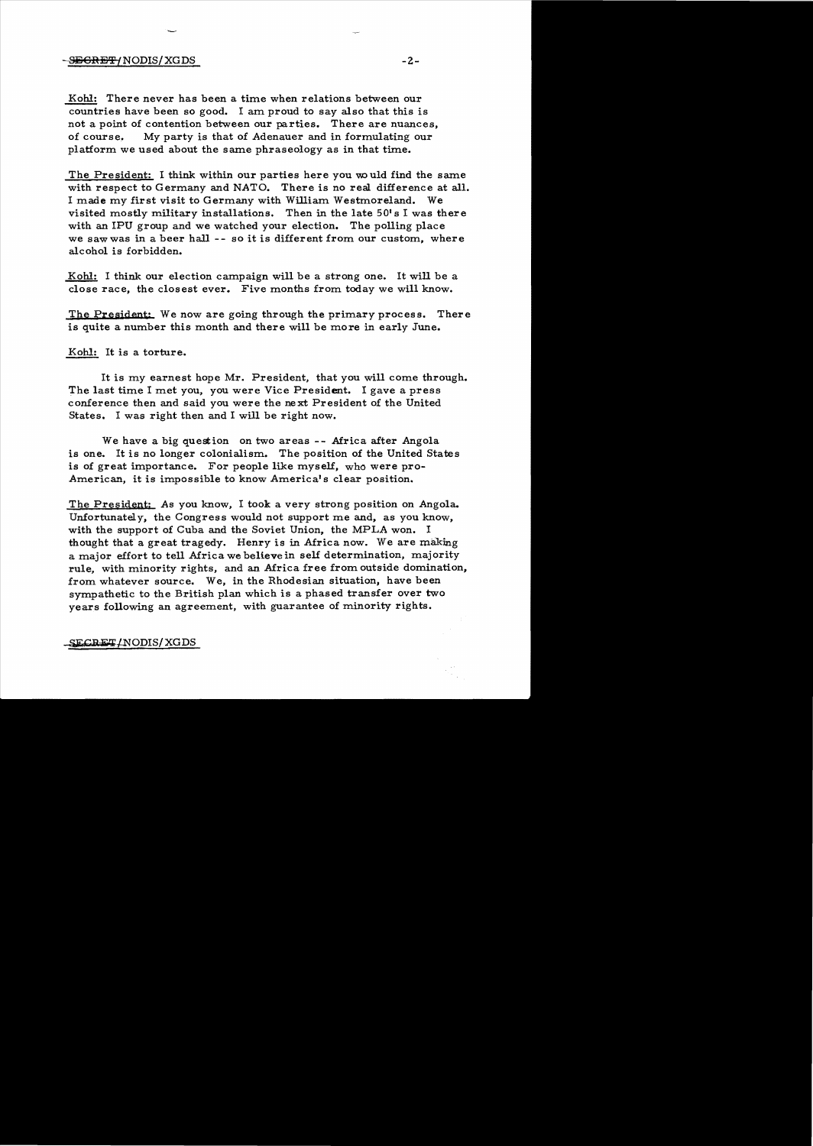## -SiS ea!'%'INODIS/ XG DS -2

Kohl: There never has been a time when relations between our countries have been so good. I am proud to say also that this is not a point of contention between our parties. There are nuances, of course~ My party is that of Adenauer and in formulating our platform we used about the same phraseology as in that time.

The President: I think within our parties here you would find the same with respect to Germany and NATO. There is no real difference at all. I made my first visit to Germany with William Westmoreland. We visited mostly military installations. Then in the late  $50's$  I was there with an IPU group and we watched your election. The polling place we saw was in a beer hall -- so it is different from our custom, where alcohol is forbidden.

Kohl: I think our election campaign will be a strong one. It will be a close race, the closest ever. Five months from today we will know.

The Presjdent: We now are going through the primary process. There is quite a number this month and there will be more in early June.

### Kohl: It is a torture.

It is my earnest hope Mr. President, that you will come through. The last time I met you, you were Vice President. I gave a press conference then and said you were the next President of the United States. I was right then and I will be right now.

We have a big question on two areas -- Africa after Angola is one. It is no longer colonialism. The position of the United States is of great importance. For people like myself, who were pro-American, it is impossible to know America's clear position.

The President: As you know, I took a very strong position on Angola. Unfortunately, the Congress would not support me and, as you know, with the support of Cuba and the Soviet Union, the MPLA won. I thought that a great tragedy. Henry is in Africa now. We are making a major effort to tell Africa we believe in self determination, majority rule, with minority rights, and an Africa free from outside domination, from whatever source. We, in the Rhodesian situation, have been sympathetic to the British plan which is a phased transfer over two years following an agreement, with guarantee of minority rights.

 $-$ SECRET/NODIS/XGDS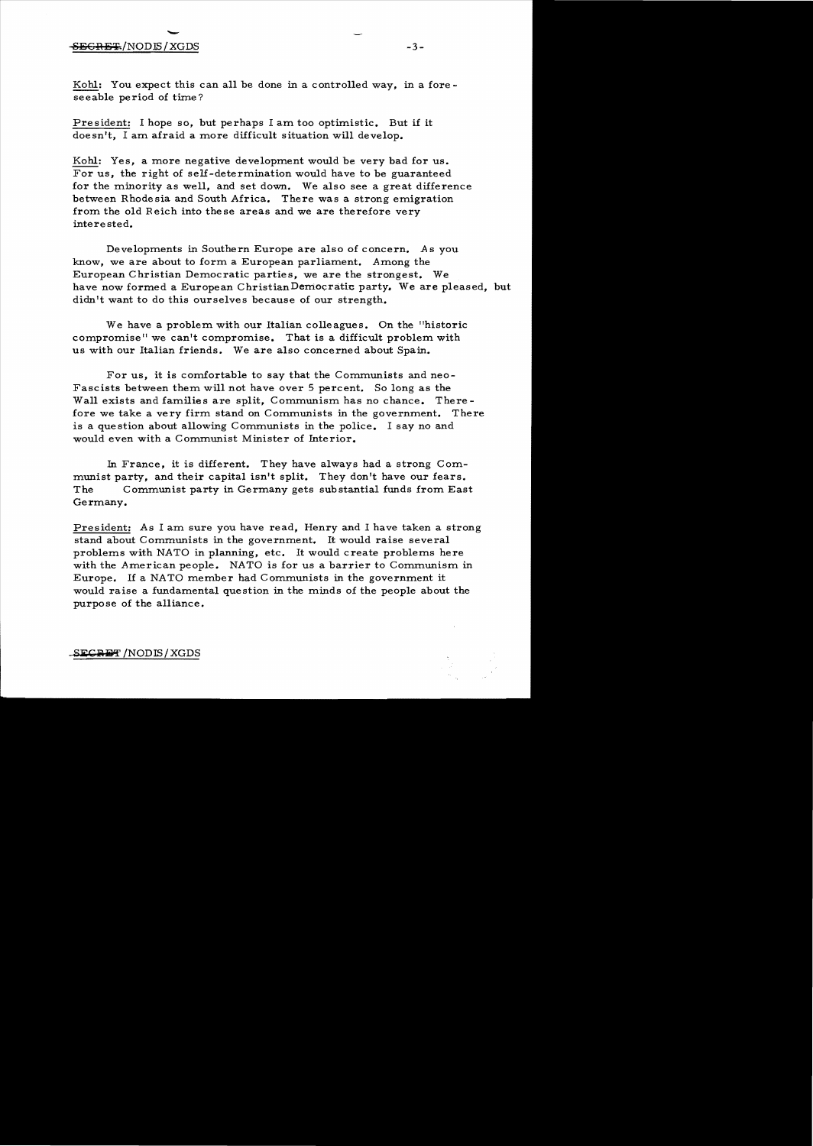# -3 - S<del>ECRETA</del>/NODIS/XGDS -3

Kohl: You expect this can all be done in a controlled way, in a foreseeable period of time?

President: I hope so, but perhaps I am too optimistic. But if it doesn't, I am afraid a more difficult situation will develop.

Kohl: Yes, a more negative development would be very bad for us. For us, the right of self-determination would have to be guaranteed for the minority as well, and set down. We also see a great difference between Rhode sia and South Africa. There was a strong emigration from the old Reich into these areas and we are therefore very interested.

Developments in Southern Europe are also of concern. *A* s you know, we are about to form a European parliament. Among the European Christian Democratic parties, we are the strongest. We have now formed a European ChristianDemocratic party. We are pleased, but didn't want to do this ourselves because of our strength.

We have a problem with our Italian colleagues. On the "historic compromise" we can't compromise. That is a difficult problem with us with our Italian friends. We are also concerned about Spain.

For us, it is comfortable to say that the Communists and neo-Fascists between them will not have over 5 percent. So long as the Wall exists and families are split, Communism has no chance. Therefore we take a very firm stand on Communists in the government. There is a question about allowing Communists in the police. I say no and would even with a Communist Minister of Interior.

In France, it is different. They have always had a strong Communist party, and their capital isn't split. They don't have our fears. The Communist party in Germany gets substantial funds from East Germany.

President: As I am sure you have read, Henry and I have taken a strong stand about Communists in the government. It would raise several problems with NATO in planning, etc. It would create problems here with the American people. NATO is for us a barrier to Communism in Europe. If a NATO member had Communists in the government it would raise a fundamental question in the minds of the people about the purpose of the alliance.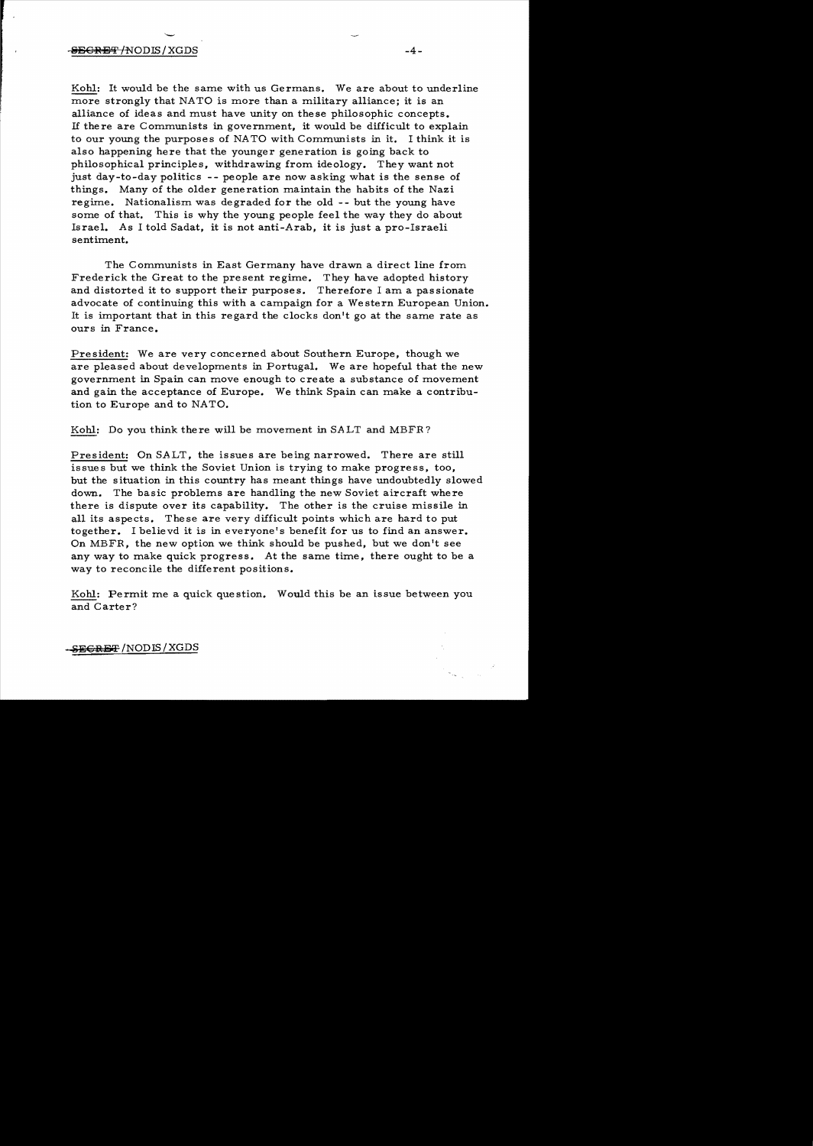#### $\overline{ABGREF}/\text{NODIS}/\text{XGDS}$   $-4$  -

Kohl: It would be the same with us Germans. We are about to underline more strongly that NATO is more than a military alliance; it is an alliance of ideas and must have unity on these philosophic concepts. If there are Communists in government, it would be difficult to explain to our young the purposes of NATO with Communists in it. I think it is also happening here that the younger generation is going back to philosophical principles, withdrawing from ideology. They want not just day-to-day politics -- people are now asking what is the sense of things. Many of the older generation maintain the habits of the Nazi regime. Nationalism was degraded for the old - - but the young have some of that. This is why the young people feel the way they do about Israel. As I told Sadat, it is not anti-Arab, it is just a pro-Israeli sentiment.

The Communists in East Germany have drawn a direct line from Frederick the Great to the present regime. They have adopted history and distorted it to support their purposes. Therefore I am a passionate advocate of continuing this with a campaign for a Western European Union. It is important that in this regard the clocks don't go at the same rate as ours in France.

President: We are very concerned about Southern Europe, though we are pleased about developments in Portugal. We are hopeful that the new government in Spain can move enough to create a substance of movement and gain the acceptance of Europe. We think Spain can make a contribution to Europe and to NATO.

Kohl: Do you think there will be movement in SALT and MBFR?

President: On SALT, the issues are being narrowed. There are still issues but we think the Soviet Union is trying to make progress, too, but the situation in this country has meant things have undoubtedly slowed down. The basic problems are handling the new Soviet aircraft where there is dispute over its capability. The other is the cruise missile in all its aspects. These are very difficult points which are hard to put together. I believd it is in everyone's benefit for us to find an answer. On MBFR, the new option we think should be pushed, but we don't see any way to make quick progress. At the same time, there ought to be a way to reconcile the different positions.

Kohl: Permit me a quick question. Would this be an issue between you and Carter?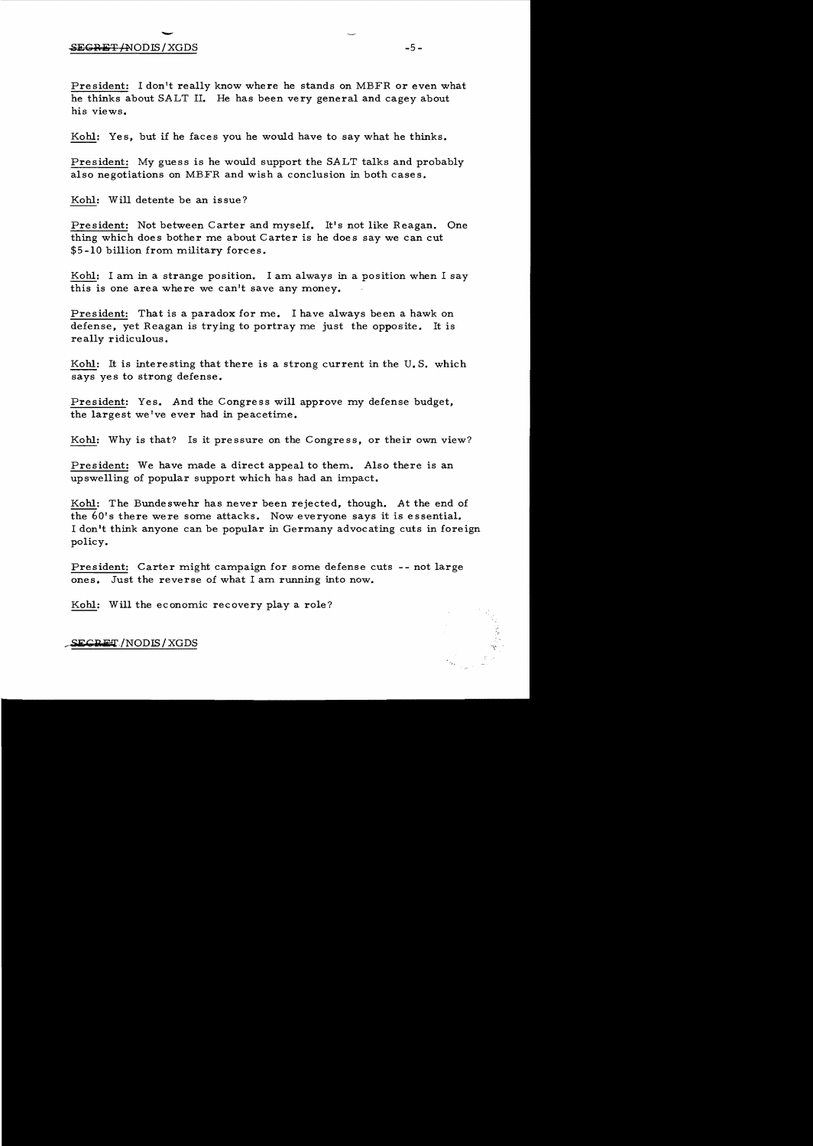# SEGRET/NODIS/XGDS -5

President: I don't really know where he stands on MBFR or even what he thinks about SALT II. He has been very general and cagey about his views.

Kohl: Yes, but if he faces you he would have to say what he thinks.

President: My guess is he would support the SALT talks and probably also negotiations on MBFR and wish a conclusion in both cases.

Kohl: Will detente be an issue?

President: Not between Carter and myself. It's not like Reagan. One thing which does bother me about Carter is he does say we can cut \$5 -10 billion from military forces.

Kohl: I am in a strange position. I am always in a position when I say this is one area where we can't save any money.

President: That is a paradox for me. I have always been a hawk on defense, yet Reagan is trying to portray me just the opposite. It is really ridiculous.

Kohl: It is interesting that there is a strong current in the U. S. which says yes to strong defense.

President: Yes. And the Congress will approve my defense budget, the largest we've ever had in peacetime.

Kohl: Why is that? Is it pressure on the Congress, or their own view?

President: We have made a direct appeal to them. Also there is an upswelling of popular support which has had an impact.

Kohl: The Bundeswehr has never been rejected, though. At the end of the 60's there were some attacks. Now everyone says it is essential. I don't think anyone can be popular in Germany advocating cuts in foreign policy.

President: Carter might campaign for some defense cuts -- not large ones. Just the reverse of what I am running into now.

Kohl: Will the economic recovery playa role?

SECRET/NODIS/XGDS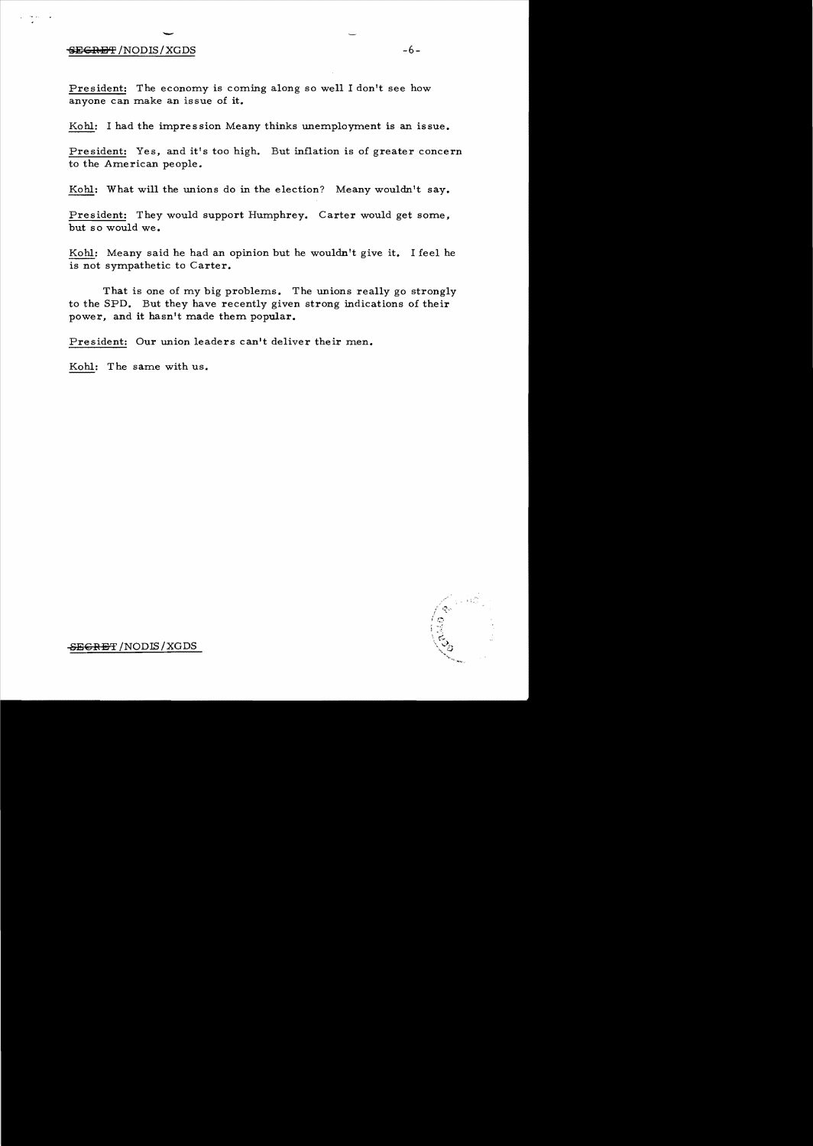# $\overline{\phantom{a}}$ SECRET /NODIS / XGDS

 $\frac{1}{2}$  in

President: The economy is coming along so well I don't see how anyone can make an issue of it.

Kohl: I had the impression Meany thinks unemployment is an issue.

President: Yes, and it's too high. But inflation is of greater concern to the American people.

Kohl: What will the unions do in the election? Meany wouldn't say.

President: They would support Humphrey. Carter would get some, but so would we.

Kohl: Meany said he had an opinion but he wouldn't give it. I feel he is not sympathetic to Carter.

That is one of my big problems. The unions really go strongly to the SPD. But they have recently given strong indications of their power, and it hasn't made them popular.

President: Our union leaders can't deliver their men.

Kohl: The same with us.



SEGRET / NODIS / XGDS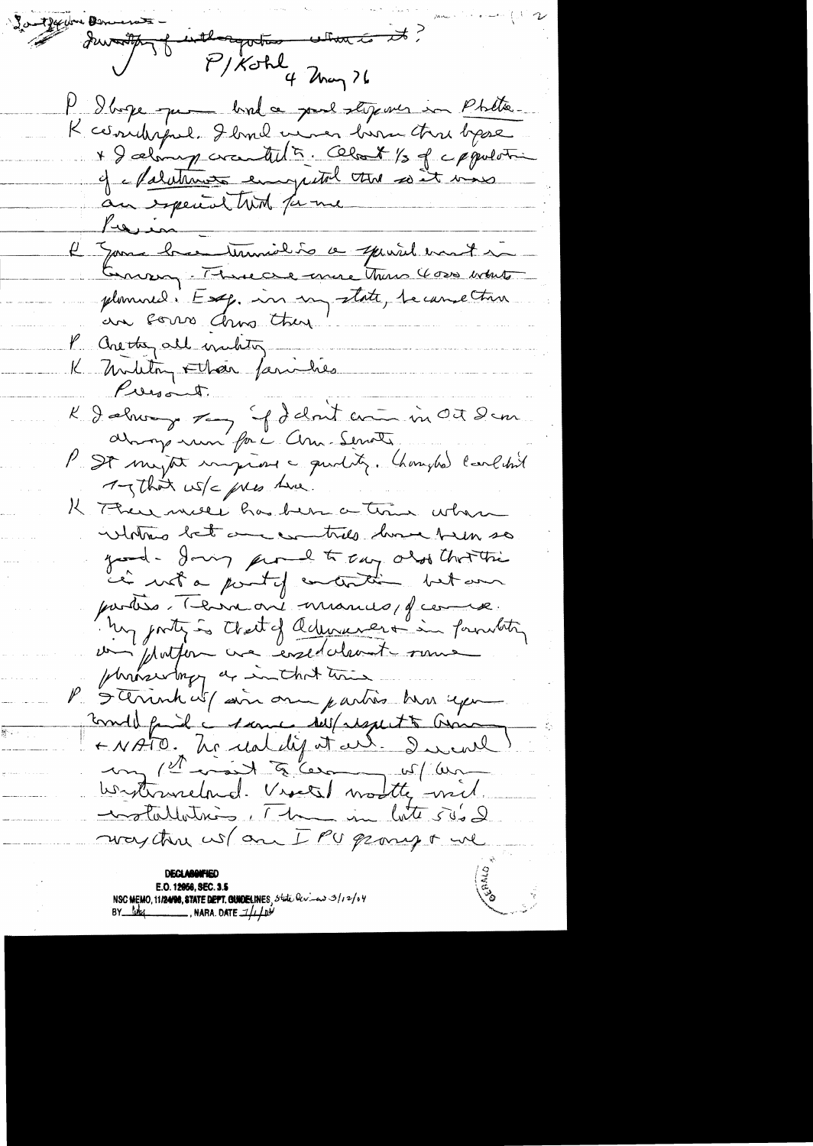Ja theybre Den servator de interpretar etants et P d'age que bala parl étgens en Phêtre. K cerridispul. I broad mener him three bypse \* I selamy cranted to. Clock 1/3 of c ppulotin of Malutimes empital the set ins Kein-L'Epouse bree termidin a speriel mont in Germany. There are there There 4000 white plomined. Esq. in my state, became true an sorro Chro there P. are they all making. K military Flan families Presont. K I almonge son g del nut en in Oct dem always num for a Chan-Servate P. St myst imprises a quotitez. Changles laveletint 1-That us/c pres twee. K There meet has been a trin when intothing but and committed down them so grand- Jours pour le treuz abobthoritie parties Terre on manus d'une In porty is that of admirare in fourthly phronocentary as in that there Sterrenk with some one parties has exper-Formall family contained della respect to Grand ANATO. Le real dij et au. der and un 1et visit à les us/ an motallations, The in late 500 & way this wo an IPU prompt we E.O. 12056, SEC. 3.5

NSC MEMO, 11/24/08, STATE DEPT. CUIDELINES, state levies 3/12/04<br>BY Lucy MARA. DATE  $1/\sqrt{p}$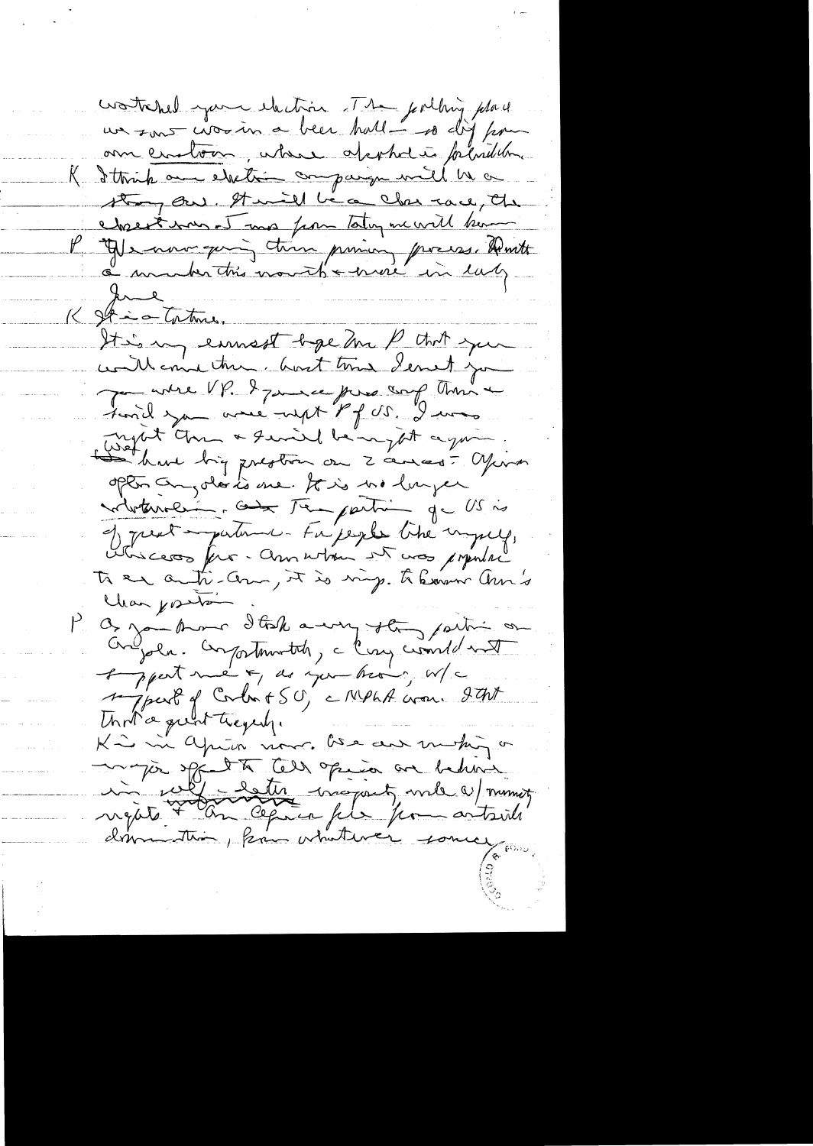workhed you thatin The fulling place un sont circuin a been hall - so dij pour om cratour, where approved plantilon K I think are electric company will be a strong our. It will be a clear race, the cheesterment mas from taking me will know P Yes now quing them priming process. Hunt i under this month a errore in early Ime < st is to tome. It is my emmest bye an P that you will emine them. And this denot you James UP. I James force and This tonil you are with Pf SS. I was regist Ann a quais la regist again. option composés is me. It is no lunger noterrolling com temperation que US is J prent impartement. En people like imperient. To en anti-com, it is ving. to have an's Changeston P. Og zon Amer Italk any stay partir on Congola. Compostmentation, a large condet met of pperterne of as you have, w/c signed of Corbot S.O. MPhA was gart Unit a quint tregely. K is in aprim more bien au helion.<br>In par de la grand au helion.<br>Ingate + an aprim file from artsville.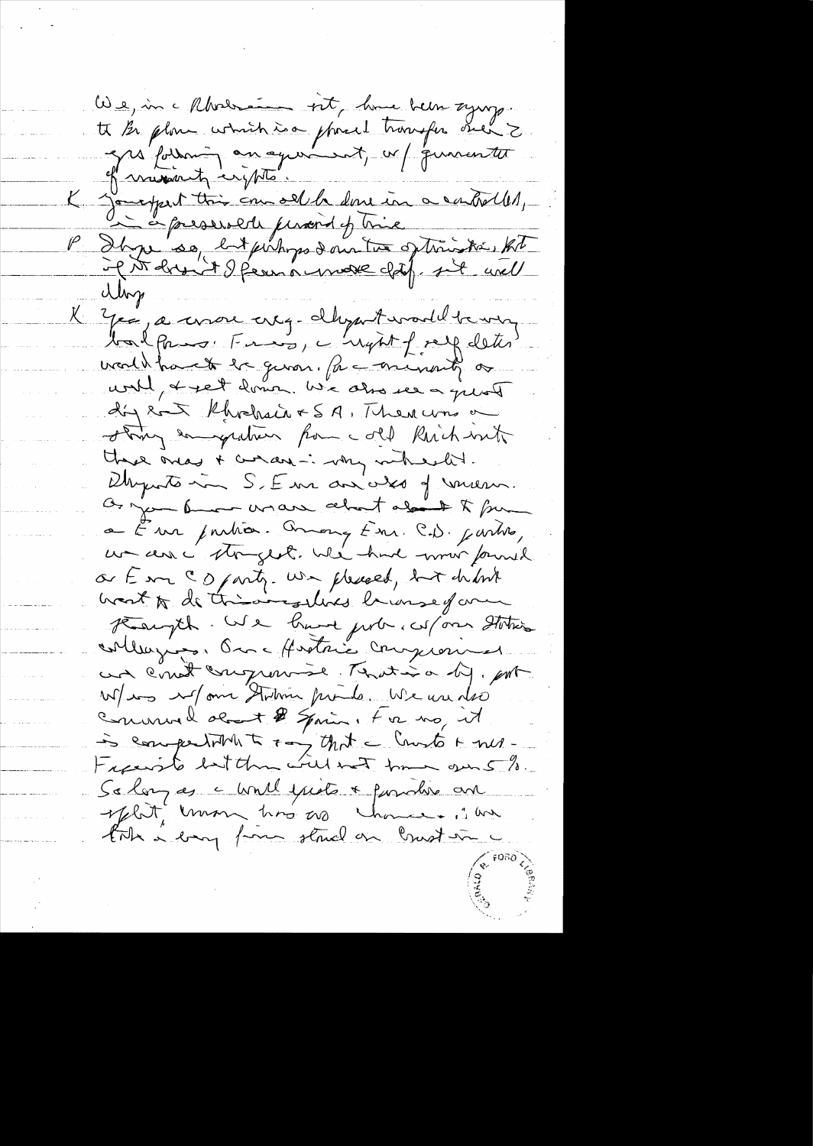We, in a Rhodrain vit, home been syng.<br>It Be plom which is a phoed transfer seen Z<br>and forming an agreement, w/ quarentet of museum in the. K joursport this complete done in a controller, de à presente person et trie<br>It per so, bit perhops d'un tous optrinister tot Ulip K Yes, a correr ereg - dhyant would be very balpros: Frag, a nynt freez deter wealthat the given. Pe - minute or unil, & set donc. We also see a quot dig son Rhochain & SA, Then was a story engerties for cold Rich with there away + current - why where ht. Dhypotomen S, Em aniales of versen. Or you from and about about to four a Em pution. Avong Em C.D. partes, or E m C O party. We pleased, but delink want to de this aircrafting branse form Haryth. We have just whom Station collegios. On Montrie Compromer un cont conquerise Motion di, port W/www strim prode We use des Commaddet # Spain, 4 v2 mg it is competition to ray that a Count in mes-So long as a would prote + possible and split mon hos as chance. I'm tak a bany form stand on brust in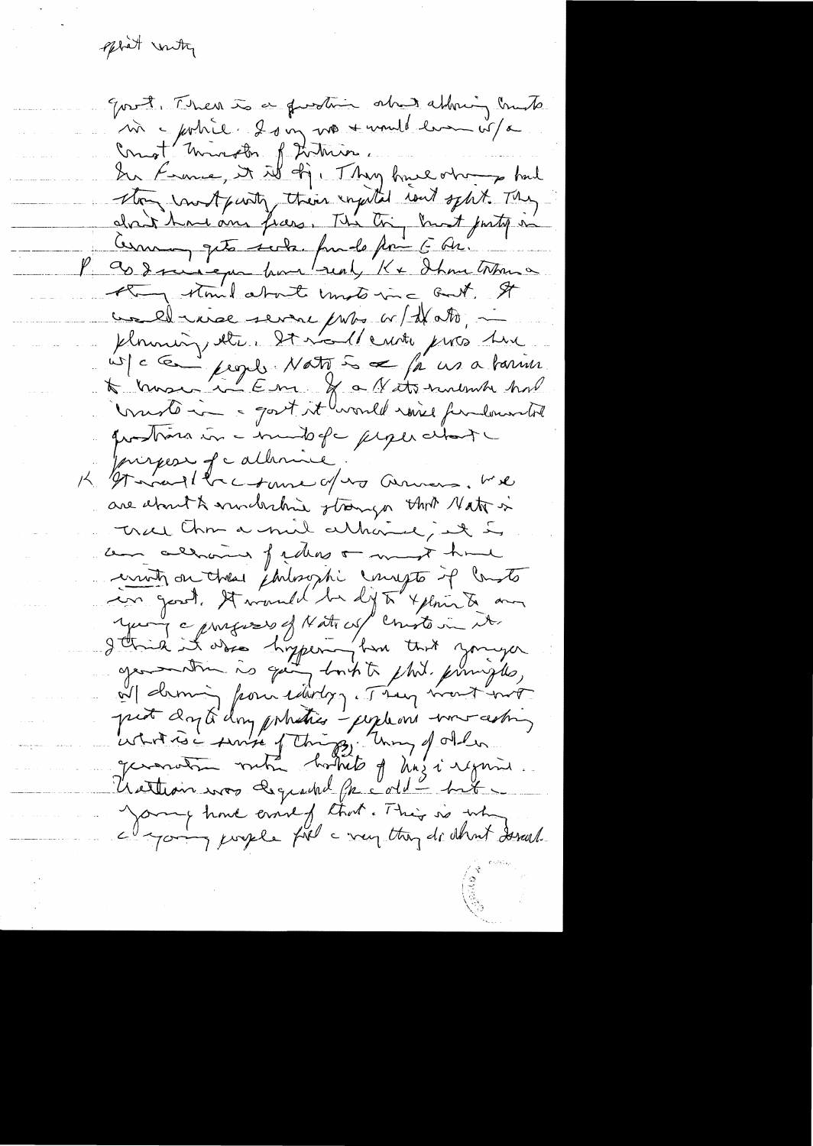spirit unity

goot, Then is a function about allowing build m = pohie. 20 m no + unul en i/a Ongt Mireth ftitues.<br>In France, it is of Thy hue obre had they cont punty their inputed road sphit. They dant home ann frans. The the bunt postop in Comme que sola fundo poi E Ar. they stand about unstorme, but, It well inse severe puts w/ d/ atto, ploming etc. It malle unter pros time W/ c Ce people Nation & / je us a tarin Unite in a gost it would raise fundamental questions in a mandage people change princess of catherine. K Gt martler ctame of no ammens. We are about & modernie strongs that Nat is tree that a mil althouse, it is can almoment fidens a most have erritz ou ches émbrophi imagés de laste con good. It would be dy to xplain to an your composed of Natures/ constant in Jetrik it also hyper for that younger aparentin is quit bort to this principles, Il demin pour court d'une mont ent Young have everely that. This is why a going juryle fil a very thing do about desearch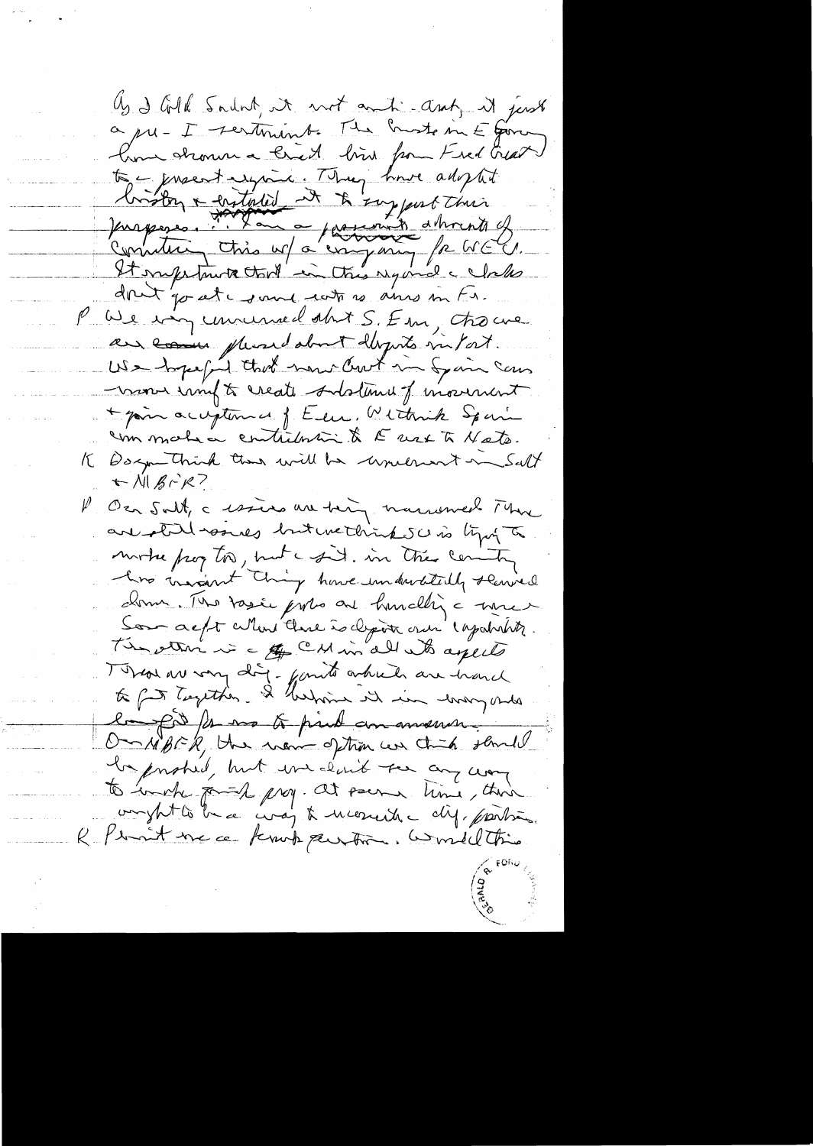Us d'All Sadat, it not anti-ant, it just a pu-I sertiment. The busto in E form home stronn a bried bin from Fred Grat to - procent exposer . They have adopted<br>forgence . This was a process of the wind of<br>content this was a regional of WEU.<br>It supposes . This was a company for WEU.<br>It supposes . This was a company for WEU.<br>It supposes . Th P We immuned at S. Em, trouve au comme plused about dépuis infort. non impt reate ordations of movement + pain acceptances of Eeu. Withink Spain commativa contribution & E use to Mate. K Dagn Think than will be underwort in Salt Albir? P On Salt, a cession au toing marriened Mune are still would but we think see is typing to mortre pay too, but a sit. in the centre donn. The tasie portes and hundling a more Son ac/t attent there is depoin once 'espaintiff. The other is a for CM in all who apects Tobal av very dig. fanto article are hard to fut Tempthen. I hasting it in war of the la por la ma to print amanance On NBCR, the non-option can think sand la probably but we don't see any way to work format prog. At seems time, there ompt to be a coaj to moneite dif. parties. R. Pensit me a knot pention. Comellting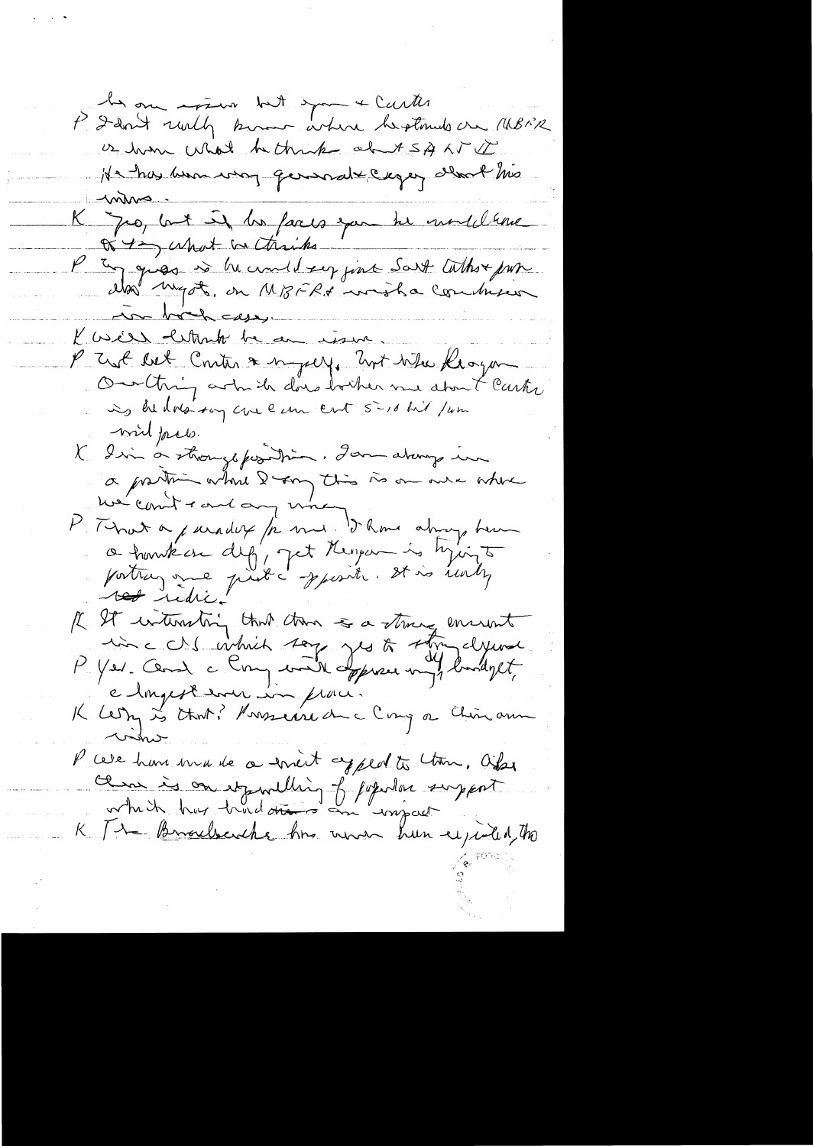les one assure but span & Carter.<br>P Dan't rully known where herstands on MBMR is home what he think about 5A AT I He has hear way general cager alors has inhus K Jeo, but if he faces you be undeltere or tay what we thinks P En ques es he und drep jour Sart Cathor par we book cases. K as estante be an issue. I Trust Ret Conter & myself. Unt When Klogan Our thing art the does bother me about Carter ing he does say care even cost 5-10 hil / um wird facts. K I in a strongsposition. Jan atomy in a partir what I am this is on we where P That a juridit /2 mil 5 km atom, team Il It interestoing that then a strong encount P cere hom made a mint appeal to them, Ofser cement is on it milling of popular support